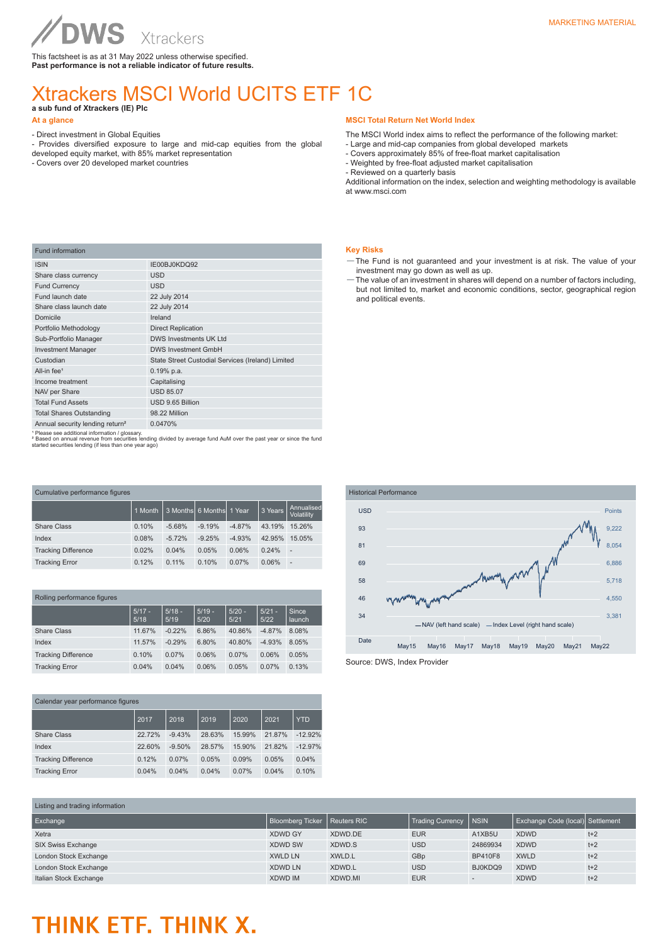Xtrackers This factsheet is as at 31 May 2022 unless otherwise specified.

# MARKETING MATERIAL

## Xtrackers MSCI World UCITS ETF 1C **a sub fund of Xtrackers (IE) Plc**

#### **At a glance**

- Direct investment in Global Equities

**WS** 

- Provides diversified exposure to large and mid-cap equities from the global
- developed equity market, with 85% market representation - Covers over 20 developed market countries

### **MSCI Total Return Net World Index**

The MSCI World index aims to reflect the performance of the following market:

- Large and mid-cap companies from global developed markets
- Covers approximately 85% of free-float market capitalisation
- Weighted by free-float adjusted market capitalisation
- Reviewed on a quarterly basis

Additional information on the index, selection and weighting methodology is available at www.msci.com

#### **Key Risks**

- —The Fund is not guaranteed and your investment is at risk. The value of your investment may go down as well as up.
- —The value of an investment in shares will depend on a number of factors including, but not limited to, market and economic conditions, sector, geographical region and political events.

| <b>Fund information</b>                     |                                                   |  |  |  |  |  |
|---------------------------------------------|---------------------------------------------------|--|--|--|--|--|
| <b>ISIN</b>                                 | IE00BJ0KDQ92                                      |  |  |  |  |  |
| Share class currency                        | <b>USD</b>                                        |  |  |  |  |  |
| <b>Fund Currency</b>                        | <b>USD</b>                                        |  |  |  |  |  |
| Fund launch date                            | 22 July 2014                                      |  |  |  |  |  |
| Share class launch date                     | 22 July 2014                                      |  |  |  |  |  |
| Domicile                                    | Ireland                                           |  |  |  |  |  |
| Portfolio Methodology                       | <b>Direct Replication</b>                         |  |  |  |  |  |
| Sub-Portfolio Manager                       | <b>DWS Investments UK Ltd</b>                     |  |  |  |  |  |
| <b>Investment Manager</b>                   | <b>DWS Investment GmbH</b>                        |  |  |  |  |  |
| Custodian                                   | State Street Custodial Services (Ireland) Limited |  |  |  |  |  |
| All-in fee <sup>1</sup>                     | $0.19%$ p.a.                                      |  |  |  |  |  |
| Income treatment                            | Capitalising                                      |  |  |  |  |  |
| NAV per Share                               | <b>USD 85.07</b>                                  |  |  |  |  |  |
| <b>Total Fund Assets</b>                    | USD 9.65 Billion                                  |  |  |  |  |  |
| <b>Total Shares Outstanding</b>             | 98.22 Million                                     |  |  |  |  |  |
| Annual security lending return <sup>2</sup> | 0.0470%                                           |  |  |  |  |  |

Annual security lending return<sup>2</sup> 0.0470%<br><sup>1</sup> Please see additional information / glossary.<br><sup>2</sup> Based on annual revenue from securities lending divided by average fund AuM over the past year or since the fund<br>started secur

| Cumulative performance figures |         |          |                          |          |         |                          |  |
|--------------------------------|---------|----------|--------------------------|----------|---------|--------------------------|--|
|                                | 1 Month |          | 3 Months 6 Months 1 Year |          | 3 Years | Annualised<br>Volatility |  |
| Share Class                    | 0.10%   | $-5.68%$ | $-9.19%$                 | $-4.87%$ | 43.19%  | 15.26%                   |  |
| Index                          | 0.08%   | $-5.72%$ | $-9.25%$                 | $-4.93%$ | 42.95%  | 15.05%                   |  |
| <b>Tracking Difference</b>     | 0.02%   | 0.04%    | 0.05%                    | 0.06%    | 0.24%   | $\overline{\phantom{a}}$ |  |
| <b>Tracking Error</b>          | 0.12%   | 0.11%    | 0.10%                    | 0.07%    | 0.06%   | $\overline{a}$           |  |

|  | Rolling performance figures |
|--|-----------------------------|
|  |                             |

|                            | $5/17 -$<br>5/18 | $5/18 -$<br>5/19 | $5/19 -$<br>5/20 | $5/20 -$<br>5/21 | $5/21 -$<br>5/22 | Since<br>launch |
|----------------------------|------------------|------------------|------------------|------------------|------------------|-----------------|
| <b>Share Class</b>         | 11.67%           | $-0.22%$         | 6.86%            | 40.86%           | $-4.87%$         | 8.08%           |
| Index                      | 11.57%           | $-0.29%$         | 6.80%            | 40.80%           | $-4.93%$         | 8.05%           |
| <b>Tracking Difference</b> | 0.10%            | 0.07%            | 0.06%            | 0.07%            | 0.06%            | 0.05%           |
| <b>Tracking Error</b>      | 0.04%            | 0.04%            | 0.06%            | 0.05%            | 0.07%            | 0.13%           |

| Calendar year performance figures |        |          |        |        |        |            |
|-----------------------------------|--------|----------|--------|--------|--------|------------|
|                                   | 2017   | 2018     | 2019   | 2020   | 2021   | <b>YTD</b> |
| Share Class                       | 22.72% | $-9.43%$ | 28.63% | 15.99% | 21.87% | $-12.92%$  |
| Index                             | 22.60% | $-9.50%$ | 28.57% | 15.90% | 21.82% | $-12.97%$  |
| <b>Tracking Difference</b>        | 0.12%  | 0.07%    | 0.05%  | 0.09%  | 0.05%  | 0.04%      |
| <b>Tracking Error</b>             | 0.04%  | 0.04%    | 0.04%  | 0.07%  | 0.04%  | 0.10%      |



| Listing and trading information |                                |         |                  |                |                                  |       |
|---------------------------------|--------------------------------|---------|------------------|----------------|----------------------------------|-------|
| Exchange                        | Bloomberg Ticker   Reuters RIC |         | Trading Currency | <b>INSIN</b>   | Exchange Code (local) Settlement |       |
| Xetra                           | <b>XDWD GY</b>                 | XDWD.DE | <b>EUR</b>       | A1XB5U         | <b>XDWD</b>                      | $t+2$ |
| <b>SIX Swiss Exchange</b>       | <b>XDWD SW</b>                 | XDWD.S  | <b>USD</b>       | 24869934       | <b>XDWD</b>                      | $t+2$ |
| London Stock Exchange           | <b>XWLD LN</b>                 | XWLD.L  | GBp              | <b>BP410F8</b> | <b>XWLD</b>                      | $t+2$ |
| London Stock Exchange           | <b>XDWD LN</b>                 | XDWD.L  | <b>USD</b>       | BJ0KDQ9        | <b>XDWD</b>                      | $t+2$ |
| Italian Stock Exchange          | <b>XDWD IM</b>                 | XDWD.MI | <b>EUR</b>       |                | <b>XDWD</b>                      | $t+2$ |

# THINK ETF. THINK X.